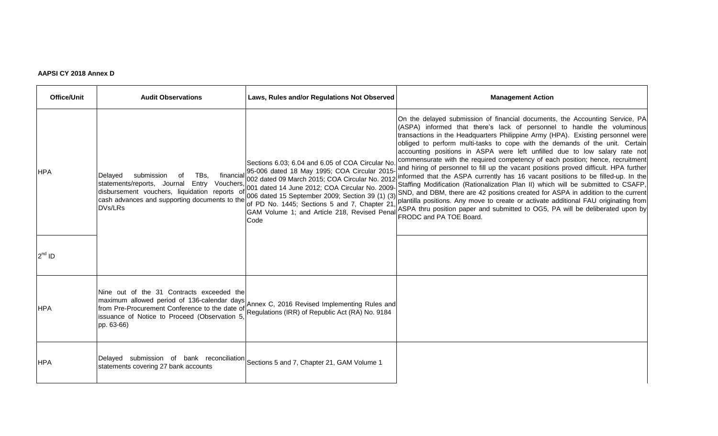## **AAPSI CY 2018 Annex D**

| <b>Office/Unit</b> | <b>Audit Observations</b>                                                                                                                                                                       | Laws, Rules and/or Regulations Not Observed                                                                                                                                                                                                                                                                            | <b>Management Action</b>                                                                                                                                                                                                                                                                                                                                                                                                                                                                                                                                                                                                                                                                                                                                                                                                                                                                                                                                                                                                                                                                            |
|--------------------|-------------------------------------------------------------------------------------------------------------------------------------------------------------------------------------------------|------------------------------------------------------------------------------------------------------------------------------------------------------------------------------------------------------------------------------------------------------------------------------------------------------------------------|-----------------------------------------------------------------------------------------------------------------------------------------------------------------------------------------------------------------------------------------------------------------------------------------------------------------------------------------------------------------------------------------------------------------------------------------------------------------------------------------------------------------------------------------------------------------------------------------------------------------------------------------------------------------------------------------------------------------------------------------------------------------------------------------------------------------------------------------------------------------------------------------------------------------------------------------------------------------------------------------------------------------------------------------------------------------------------------------------------|
| <b>HPA</b>         | submission<br>Delayed<br>TBs.<br>Vouchers,<br>statements/reports, Journal<br>Entry<br>disbursement vouchers, liquidation reports of<br>cash advances and supporting documents to the<br>DVs/LRs | Sections 6.03; 6.04 and 6.05 of COA Circular No.<br>financial 95-006 dated 18 May 1995; COA Circular 2015-<br>002 dated 09 March 2015; COA Circular No. 2012<br>001 dated 14 June 2012; COA Circular No. 2009-<br>of PD No. 1445; Sections 5 and 7, Chapter 21<br>GAM Volume 1; and Article 218, Revised Penal<br>Code | On the delayed submission of financial documents, the Accounting Service, PA<br>(ASPA) informed that there's lack of personnel to handle the voluminous<br>transactions in the Headquarters Philippine Army (HPA). Existing personnel were<br>obliged to perform multi-tasks to cope with the demands of the unit. Certain<br>accounting positions in ASPA were left unfilled due to low salary rate not<br>commensurate with the required competency of each position; hence, recruitment<br>and hiring of personnel to fill up the vacant positions proved difficult. HPA further<br>informed that the ASPA currently has 16 vacant positions to be filled-up. In the<br>Staffing Modification (Rationalization Plan II) which will be submitted to CSAFP,<br>006 dated 15 September 2009; Section 39 (1) (3) SND, and DBM, there are 42 positions created for ASPA in addition to the current<br>plantilla positions. Any move to create or activate additional FAU originating from<br>ASPA thru position paper and submitted to OG5, PA will be deliberated upon by<br>FRODC and PA TOE Board. |
| $2^{nd}$ ID        |                                                                                                                                                                                                 |                                                                                                                                                                                                                                                                                                                        |                                                                                                                                                                                                                                                                                                                                                                                                                                                                                                                                                                                                                                                                                                                                                                                                                                                                                                                                                                                                                                                                                                     |
| <b>HPA</b>         | Nine out of the 31 Contracts exceeded the<br>maximum allowed period of 136-calendar days<br>issuance of Notice to Proceed (Observation 5<br>pp. 63-66)                                          | Annex C, 2016 Revised Implementing Rules and<br>from Pre-Procurement Conference to the date of Regulations (IRR) of Republic Act (RA) No. 9184                                                                                                                                                                         |                                                                                                                                                                                                                                                                                                                                                                                                                                                                                                                                                                                                                                                                                                                                                                                                                                                                                                                                                                                                                                                                                                     |
| <b>HPA</b>         | Delayed submission of bank reconciliation Sections 5 and 7, Chapter 21, GAM Volume 1<br>statements covering 27 bank accounts                                                                    |                                                                                                                                                                                                                                                                                                                        |                                                                                                                                                                                                                                                                                                                                                                                                                                                                                                                                                                                                                                                                                                                                                                                                                                                                                                                                                                                                                                                                                                     |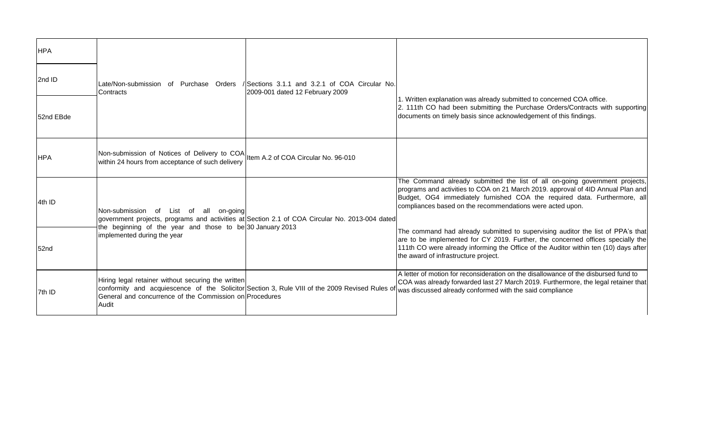| <b>HPA</b> |                                                                                                                                      |                                                                                                |                                                                                                                                                                                                                                                                                                           |
|------------|--------------------------------------------------------------------------------------------------------------------------------------|------------------------------------------------------------------------------------------------|-----------------------------------------------------------------------------------------------------------------------------------------------------------------------------------------------------------------------------------------------------------------------------------------------------------|
| 2nd ID     | Late/Non-submission of Purchase Orders<br>Contracts                                                                                  | / Sections 3.1.1 and 3.2.1 of COA Circular No.<br>2009-001 dated 12 February 2009              |                                                                                                                                                                                                                                                                                                           |
| 52nd EBde  |                                                                                                                                      |                                                                                                | 1. Written explanation was already submitted to concerned COA office.<br>2. 111th CO had been submitting the Purchase Orders/Contracts with supporting<br>documents on timely basis since acknowledgement of this findings.                                                                               |
| HPA        | Non-submission of Notices of Delivery to COA Item A.2 of COA Circular No. 96-010<br>within 24 hours from acceptance of such delivery |                                                                                                |                                                                                                                                                                                                                                                                                                           |
| 4th ID     | Non-submission of List of all on-going<br>the beginning of the year and those to be 30 January 2013<br>implemented during the year   | government projects, programs and activities at Section 2.1 of COA Circular No. 2013-004 dated | The Command already submitted the list of all on-going government projects,<br>programs and activities to COA on 21 March 2019. approval of 4ID Annual Plan and<br>Budget, OG4 immediately furnished COA the required data. Furthermore, all<br>compliances based on the recommendations were acted upon. |
| 52nd       |                                                                                                                                      |                                                                                                | The command had already submitted to supervising auditor the list of PPA's that<br>are to be implemented for CY 2019. Further, the concerned offices specially the<br>111th CO were already informing the Office of the Auditor within ten (10) days after<br>the award of infrastructure project.        |
| 7th ID     | Hiring legal retainer without securing the written<br>General and concurrence of the Commission on Procedures<br>Audit               | conformity and acquiescence of the Solicitor Section 3, Rule VIII of the 2009 Revised Rules of | A letter of motion for reconsideration on the disallowance of the disbursed fund to<br>COA was already forwarded last 27 March 2019. Furthermore, the legal retainer that<br>was discussed already conformed with the said compliance                                                                     |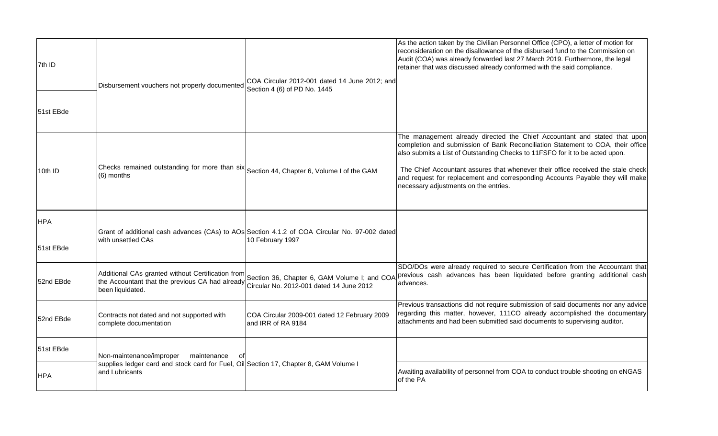| 7th ID<br>51st EBde     | Disbursement vouchers not properly documented                                                                                                            | COA Circular 2012-001 dated 14 June 2012; and<br>Section 4 (6) of PD No. 1445                                     | As the action taken by the Civilian Personnel Office (CPO), a letter of motion for<br>reconsideration on the disallowance of the disbursed fund to the Commission on<br>Audit (COA) was already forwarded last 27 March 2019. Furthermore, the legal<br>retainer that was discussed already conformed with the said compliance.                                                                                                                            |
|-------------------------|----------------------------------------------------------------------------------------------------------------------------------------------------------|-------------------------------------------------------------------------------------------------------------------|------------------------------------------------------------------------------------------------------------------------------------------------------------------------------------------------------------------------------------------------------------------------------------------------------------------------------------------------------------------------------------------------------------------------------------------------------------|
| 10th ID                 | Checks remained outstanding for more than six<br>(6) months                                                                                              | Section 44, Chapter 6, Volume I of the GAM                                                                        | The management already directed the Chief Accountant and stated that upon<br>completion and submission of Bank Reconciliation Statement to COA, their office<br>also submits a List of Outstanding Checks to 11FSFO for it to be acted upon.<br>The Chief Accountant assures that whenever their office received the stale check<br>and request for replacement and corresponding Accounts Payable they will make<br>necessary adjustments on the entries. |
| <b>HPA</b><br>51st EBde | with unsettled CAs                                                                                                                                       | Grant of additional cash advances (CAs) to AOs Section 4.1.2 of COA Circular No. 97-002 dated<br>10 February 1997 |                                                                                                                                                                                                                                                                                                                                                                                                                                                            |
| 52nd EBde               | Additional CAs granted without Certification from<br>the Accountant that the previous CA had already<br>been liquidated.                                 | Circular No. 2012-001 dated 14 June 2012                                                                          | SDO/DOs were already required to secure Certification from the Accountant that<br>Section 36, Chapter 6, GAM Volume I; and COA <i>Previous</i> cash advances has been liquidated before granting additional cash<br>advances.                                                                                                                                                                                                                              |
| 52nd EBde               | Contracts not dated and not supported with<br>complete documentation                                                                                     | COA Circular 2009-001 dated 12 February 2009<br>and IRR of RA 9184                                                | Previous transactions did not require submission of said documents nor any advice<br>regarding this matter, however, 111CO already accomplished the documentary<br>attachments and had been submitted said documents to supervising auditor.                                                                                                                                                                                                               |
| 51st EBde               | Non-maintenance/improper<br>maintenance<br>0t<br>supplies ledger card and stock card for Fuel, Oil Section 17, Chapter 8, GAM Volume I<br>and Lubricants |                                                                                                                   | Awaiting availability of personnel from COA to conduct trouble shooting on eNGAS                                                                                                                                                                                                                                                                                                                                                                           |
| <b>HPA</b>              |                                                                                                                                                          |                                                                                                                   | of the PA                                                                                                                                                                                                                                                                                                                                                                                                                                                  |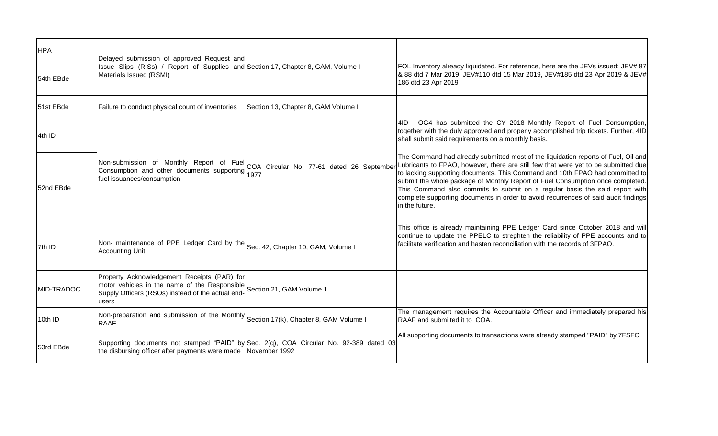| <b>HPA</b> | Delayed submission of approved Request and                                                                                                                                          |                                                                                        |                                                                                                                                                                                                                                                                                                                                                                                                                                                                                                                                   |
|------------|-------------------------------------------------------------------------------------------------------------------------------------------------------------------------------------|----------------------------------------------------------------------------------------|-----------------------------------------------------------------------------------------------------------------------------------------------------------------------------------------------------------------------------------------------------------------------------------------------------------------------------------------------------------------------------------------------------------------------------------------------------------------------------------------------------------------------------------|
| 54th EBde  | Issue Slips (RISs) / Report of Supplies and Section 17, Chapter 8, GAM, Volume I<br>Materials Issued (RSMI)                                                                         |                                                                                        | FOL Inventory already liquidated. For reference, here are the JEVs issued: JEV# 87<br>8.88 dtd 7 Mar 2019, JEV#110 dtd 15 Mar 2019, JEV#185 dtd 23 Apr 2019 & JEV#<br>186 dtd 23 Apr 2019                                                                                                                                                                                                                                                                                                                                         |
| 51st EBde  | Failure to conduct physical count of inventories                                                                                                                                    | Section 13, Chapter 8, GAM Volume I                                                    |                                                                                                                                                                                                                                                                                                                                                                                                                                                                                                                                   |
| 4th ID     |                                                                                                                                                                                     |                                                                                        | 4ID - OG4 has submitted the CY 2018 Monthly Report of Fuel Consumption,<br>together with the duly approved and properly accomplished trip tickets. Further, 4ID<br>shall submit said requirements on a monthly basis.                                                                                                                                                                                                                                                                                                             |
| 52nd EBde  | fuel issuances/consumption                                                                                                                                                          | Non-submission of Monthly Report of Fuel COA Circular No. 77-61 dated 26 September     | The Command had already submitted most of the liquidation reports of Fuel, Oil and<br>Lubricants to FPAO, however, there are still few that were yet to be submitted due<br>to lacking supporting documents. This Command and 10th FPAO had committed to<br>submit the whole package of Monthly Report of Fuel Consumption once completed.<br>This Command also commits to submit on a regular basis the said report with<br>complete supporting documents in order to avoid recurrences of said audit findings<br>in the future. |
| 7th ID     | Non- maintenance of PPE Ledger Card by the Sec. 42, Chapter 10, GAM, Volume I<br><b>Accounting Unit</b>                                                                             |                                                                                        | This office is already maintaining PPE Ledger Card since October 2018 and will<br>continue to update the PPELC to streghten the reliability of PPE accounts and to<br>facilitate verification and hasten reconciliation with the records of 3FPAO.                                                                                                                                                                                                                                                                                |
| MID-TRADOC | Property Acknowledgement Receipts (PAR) for<br>motor vehicles in the name of the Responsible Section 21, GAM Volume 1<br>Supply Officers (RSOs) instead of the actual end-<br>users |                                                                                        |                                                                                                                                                                                                                                                                                                                                                                                                                                                                                                                                   |
| 10th ID    | Non-preparation and submission of the Monthly $ S_{\text{section 17(k)}}$ , Chapter 8, GAM Volume I<br><b>RAAF</b>                                                                  |                                                                                        | The management requires the Accountable Officer and immediately prepared his<br>RAAF and submiited it to COA.                                                                                                                                                                                                                                                                                                                                                                                                                     |
| 53rd EBde  | the disbursing officer after payments were made November 1992                                                                                                                       | Supporting documents not stamped "PAID" by Sec. 2(q), COA Circular No. 92-389 dated 03 | All supporting documents to transactions were already stamped "PAID" by 7FSFO                                                                                                                                                                                                                                                                                                                                                                                                                                                     |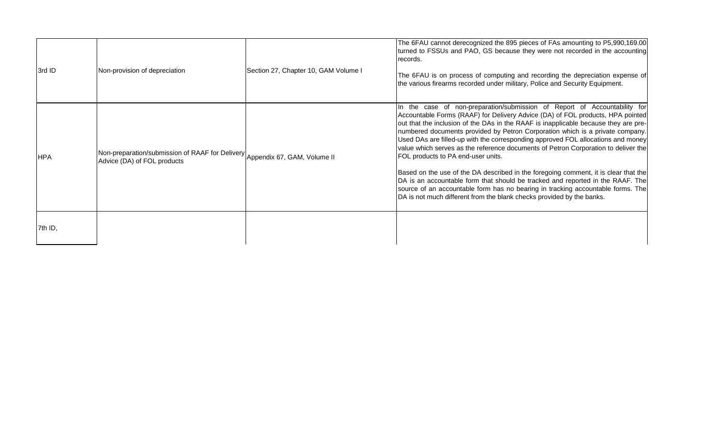| 3rd ID     | Non-provision of depreciation                                                                              | Section 27, Chapter 10, GAM Volume I | The 6FAU cannot derecognized the 895 pieces of FAs amounting to P5,990,169.00<br>turned to FSSUs and PAO, GS because they were not recorded in the accounting<br>records.<br>The 6FAU is on process of computing and recording the depreciation expense of<br>the various firearms recorded under military, Police and Security Equipment.                                                                                                                                                                                                                                                                                                                                                                                                                                                                                                                                               |
|------------|------------------------------------------------------------------------------------------------------------|--------------------------------------|------------------------------------------------------------------------------------------------------------------------------------------------------------------------------------------------------------------------------------------------------------------------------------------------------------------------------------------------------------------------------------------------------------------------------------------------------------------------------------------------------------------------------------------------------------------------------------------------------------------------------------------------------------------------------------------------------------------------------------------------------------------------------------------------------------------------------------------------------------------------------------------|
| <b>HPA</b> | Non-preparation/submission of RAAF for Delivery Appendix 67, GAM, Volume II<br>Advice (DA) of FOL products |                                      | In the case of non-preparation/submission of Report of Accountability for<br>Accountable Forms (RAAF) for Delivery Advice (DA) of FOL products, HPA pointed<br>out that the inclusion of the DAs in the RAAF is inapplicable because they are pre-<br>numbered documents provided by Petron Corporation which is a private company.<br>Used DAs are filled-up with the corresponding approved FOL allocations and money<br>value which serves as the reference documents of Petron Corporation to deliver the<br>FOL products to PA end-user units.<br>Based on the use of the DA described in the foregoing comment, it is clear that the<br>DA is an accountable form that should be tracked and reported in the RAAF. The<br>source of an accountable form has no bearing in tracking accountable forms. The<br>DA is not much different from the blank checks provided by the banks. |
| 7th ID,    |                                                                                                            |                                      |                                                                                                                                                                                                                                                                                                                                                                                                                                                                                                                                                                                                                                                                                                                                                                                                                                                                                          |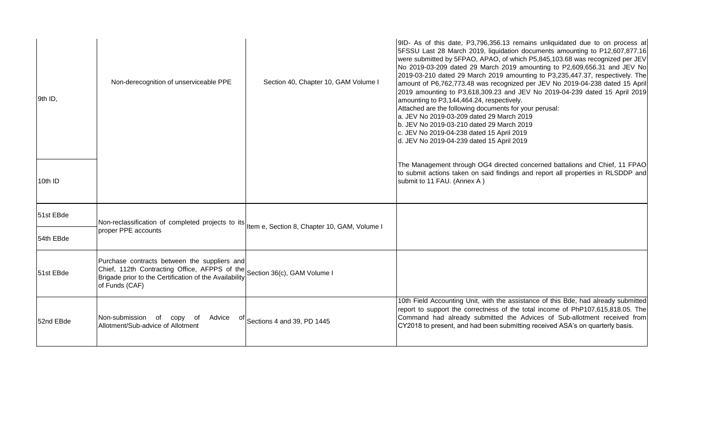| 9th ID,   | Non-derecognition of unserviceable PPE                                                                                                                                    | Section 40, Chapter 10, GAM Volume I | 9ID- As of this date, P3,796,356.13 remains unliquidated due to on process at<br>5FSSU Last 28 March 2019, liquidation documents amounting to P12,607,877.16<br>were submitted by 5FPAO, APAO, of which P5,845,103.68 was recognized per JEV<br>No 2019-03-209 dated 29 March 2019 amounting to P2,609,656.31 and JEV No<br>2019-03-210 dated 29 March 2019 amounting to P3,235,447.37, respectively. The<br>amount of P6,762,773.48 was recognized per JEV No 2019-04-238 dated 15 April<br>2019 amounting to P3,618,309.23 and JEV No 2019-04-239 dated 15 April 2019<br>amounting to P3,144,464.24, respectively.<br>Attached are the following documents for your perusal:<br>a. JEV No 2019-03-209 dated 29 March 2019<br>b. JEV No 2019-03-210 dated 29 March 2019<br>c. JEV No 2019-04-238 dated 15 April 2019<br>d. JEV No 2019-04-239 dated 15 April 2019 |
|-----------|---------------------------------------------------------------------------------------------------------------------------------------------------------------------------|--------------------------------------|--------------------------------------------------------------------------------------------------------------------------------------------------------------------------------------------------------------------------------------------------------------------------------------------------------------------------------------------------------------------------------------------------------------------------------------------------------------------------------------------------------------------------------------------------------------------------------------------------------------------------------------------------------------------------------------------------------------------------------------------------------------------------------------------------------------------------------------------------------------------|
| 10th ID   |                                                                                                                                                                           |                                      | The Management through OG4 directed concerned battalions and Chief, 11 FPAO<br>to submit actions taken on said findings and report all properties in RLSDDP and<br>submit to 11 FAU. (Annex A)                                                                                                                                                                                                                                                                                                                                                                                                                                                                                                                                                                                                                                                                     |
| 51st EBde | Non-reclassification of completed projects to its tem e, Section 8, Chapter 10, GAM, Volume I                                                                             |                                      |                                                                                                                                                                                                                                                                                                                                                                                                                                                                                                                                                                                                                                                                                                                                                                                                                                                                    |
| 54th EBde | proper PPE accounts                                                                                                                                                       |                                      |                                                                                                                                                                                                                                                                                                                                                                                                                                                                                                                                                                                                                                                                                                                                                                                                                                                                    |
| 51st EBde | Purchase contracts between the suppliers and<br>Chief, 112th Contracting Office, AFPPS of the<br>Brigade prior to the Certification of the Availability<br>of Funds (CAF) | Section 36(c), GAM Volume I          |                                                                                                                                                                                                                                                                                                                                                                                                                                                                                                                                                                                                                                                                                                                                                                                                                                                                    |
| 52nd EBde | Non-submission of copy<br>of<br>Advice<br>ot l<br>Allotment/Sub-advice of Allotment                                                                                       | Sections 4 and 39, PD 1445           | 10th Field Accounting Unit, with the assistance of this Bde, had already submitted<br>report to support the correctness of the total income of PhP107,615,818.05. The<br>Command had already submitted the Advices of Sub-allotment received from<br>CY2018 to present, and had been submitting received ASA's on quarterly basis.                                                                                                                                                                                                                                                                                                                                                                                                                                                                                                                                 |